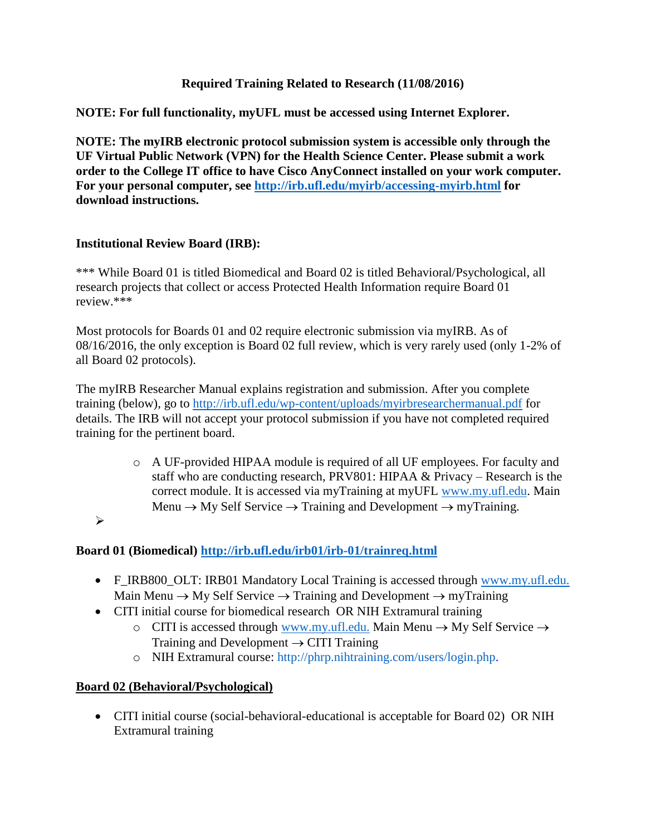### **Required Training Related to Research (11/08/2016)**

**NOTE: For full functionality, myUFL must be accessed using Internet Explorer.**

**NOTE: The myIRB electronic protocol submission system is accessible only through the UF Virtual Public Network (VPN) for the Health Science Center. Please submit a work order to the College IT office to have Cisco AnyConnect installed on your work computer. For your personal computer, see<http://irb.ufl.edu/myirb/accessing-myirb.html> for download instructions.**

#### **Institutional Review Board (IRB):**

\*\*\* While Board 01 is titled Biomedical and Board 02 is titled Behavioral/Psychological, all research projects that collect or access Protected Health Information require Board 01 review.\*\*\*

Most protocols for Boards 01 and 02 require electronic submission via myIRB. As of 08/16/2016, the only exception is Board 02 full review, which is very rarely used (only 1-2% of all Board 02 protocols).

The myIRB Researcher Manual explains registration and submission. After you complete training (below), go to<http://irb.ufl.edu/wp-content/uploads/myirbresearchermanual.pdf> for details. The IRB will not accept your protocol submission if you have not completed required training for the pertinent board.

> o A UF-provided HIPAA module is required of all UF employees. For faculty and staff who are conducting research, PRV801: HIPAA & Privacy – Research is the correct module. It is accessed via myTraining at myUFL [www.my.ufl.edu.](http://www.my.ufl.edu/) Main Menu  $\rightarrow$  My Self Service  $\rightarrow$  Training and Development  $\rightarrow$  myTraining.

 $\blacktriangleright$ 

### **Board 01 (Biomedical)<http://irb.ufl.edu/irb01/irb-01/trainreq.html>**

- F\_IRB800\_OLT: IRB01 Mandatory Local Training is accessed through [www.my.ufl.edu.](http://www.my.ufl.edu./) Main Menu  $\rightarrow$  My Self Service  $\rightarrow$  Training and Development  $\rightarrow$  myTraining
- CITI initial course for biomedical research OR NIH Extramural training
	- o CITI is accessed through [www.my.ufl.edu.](http://www.my.ufl.edu./) Main Menu  $\rightarrow$  My Self Service  $\rightarrow$ Training and Development  $\rightarrow$  CITI Training
	- o NIH Extramural course: [http://phrp.nihtraining.com/users/login.php.](http://phrp.nihtraining.com/users/login.php)

### **Board 02 (Behavioral/Psychological)**

 CITI initial course (social-behavioral-educational is acceptable for Board 02) OR NIH Extramural training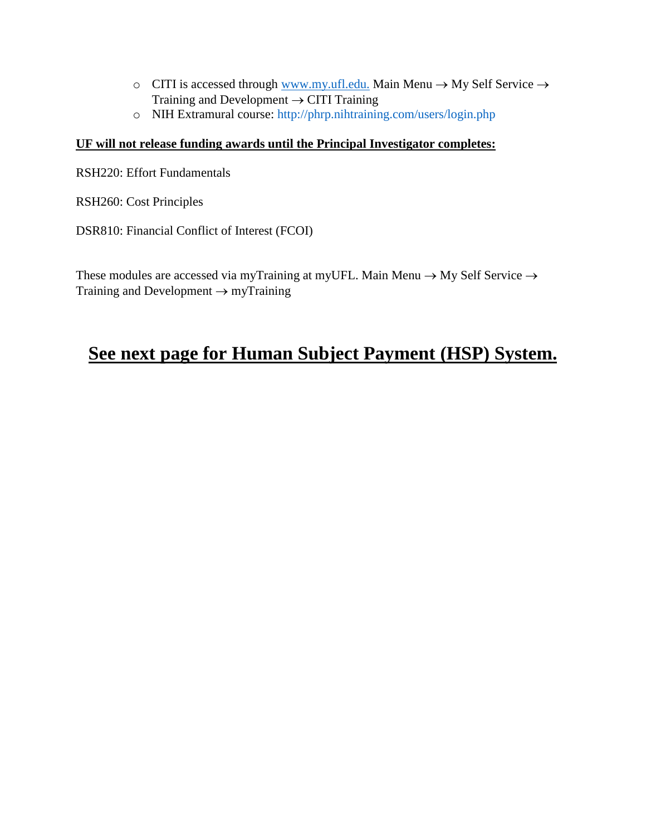- o CITI is accessed through [www.my.ufl.edu.](http://www.my.ufl.edu./) Main Menu  $\rightarrow$  My Self Service  $\rightarrow$ Training and Development  $\rightarrow$  CITI Training
- o NIH Extramural course:<http://phrp.nihtraining.com/users/login.php>

### **UF will not release funding awards until the Principal Investigator completes:**

RSH220: Effort Fundamentals

RSH260: Cost Principles

DSR810: Financial Conflict of Interest (FCOI)

These modules are accessed via myTraining at myUFL. Main Menu  $\rightarrow$  My Self Service  $\rightarrow$ Training and Development  $\rightarrow$  myTraining

# **See next page for Human Subject Payment (HSP) System.**